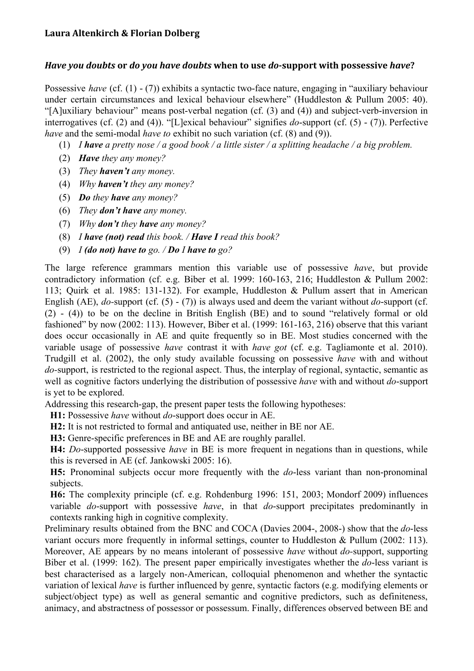## *Have you doubts*  **or** *do you have doubts*  **when to use**  *do***support with possessive** *have* **?**

Possessive *have* (cf. (1) - (7)) exhibits a syntactic two-face nature, engaging in "auxiliary behaviour under certain circumstances and lexical behaviour elsewhere" (Huddleston & Pullum 2005: 40). "[A]uxiliary behaviour" means post-verbal negation (cf.  $(3)$  and  $(4)$ ) and subject-verb-inversion in interrogatives (cf.  $(2)$  and  $(4)$ ). "[L]exical behaviour" signifies *do*-support (cf.  $(5)$  -  $(7)$ ). Perfective *have* and the semi-modal *have to* exhibit no such variation (cf. (8) and (9)).

- (1) *I have a pretty nose / a good book / a little sister / a splitting headache / a big problem.*
- (2) *Have they any money?*
- (3) *They haven't any money.*
- (4) *Why haven't they any money?*
- (5) *Do they have any money?*
- (6) *They don't have any money.*
- (7) *Why don't they have any money?*
- (8) *I have (not) read this book. / Have I read this book?*
- (9) *I (do not) have to go. / Do I have to go?*

The large reference grammars mention this variable use of possessive *have*, but provide contradictory information (cf. e.g. Biber et al. 1999: 160-163, 216; Huddleston & Pullum 2002: 113; Quirk et al. 1985: 131-132). For example, Huddleston & Pullum assert that in American English (AE), *do*-support (cf.  $(5)$  -  $(7)$ ) is always used and deem the variant without *do*-support (cf.  $(2)$  -  $(4)$ ) to be on the decline in British English (BE) and to sound "relatively formal or old fashioned" by now  $(2002: 113)$ . However, Biber et al.  $(1999: 161-163, 216)$  observe that this variant does occur occasionally in AE and quite frequently so in BE. Most studies concerned with the variable usage of possessive *have* contrast it with *have got* (cf. e.g. Tagliamonte et al. 2010). Trudgill et al. (2002), the only study available focussing on possessive *have* with and without *do*-support, is restricted to the regional aspect. Thus, the interplay of regional, syntactic, semantic as well as cognitive factors underlying the distribution of possessive *have* with and without *do*-support is yet to be explored.

Addressing this research-gap, the present paper tests the following hypotheses:

**H1:** Possessive *have* without *do*-support does occur in AE.

**H2:** It is not restricted to formal and antiquated use, neither in BE nor AE.

H3: Genre-specific preferences in BE and AE are roughly parallel.

**H4:** *Do*supported possessive *have* in BE is more frequent in negations than in questions, while this is reversed in AE (cf. Jankowski 2005: 16).

**H5:** Pronominal subjects occur more frequently with the *do*-less variant than non-pronominal subjects.

**H6:** The complexity principle (cf. e.g. Rohdenburg 1996: 151, 2003; Mondorf 2009) influences variable *do*-support with possessive *have*, in that *do*-support precipitates predominantly in contexts ranking high in cognitive complexity.

Preliminary results obtained from the BNC and COCA (Davies 2004-, 2008-) show that the *do*-less variant occurs more frequently in informal settings, counter to Huddleston & Pullum (2002: 113). Moreover, AE appears by no means intolerant of possessive *have* without *do*-support, supporting Biber et al. (1999: 162). The present paper empirically investigates whether the *do*-less variant is best characterised as a largely non-American, colloquial phenomenon and whether the syntactic variation of lexical *have* is further influenced by genre, syntactic factors (e.g. modifying elements or subject/object type) as well as general semantic and cognitive predictors, such as definiteness, animacy, and abstractness of possessor or possessum. Finally, differences observed between BE and